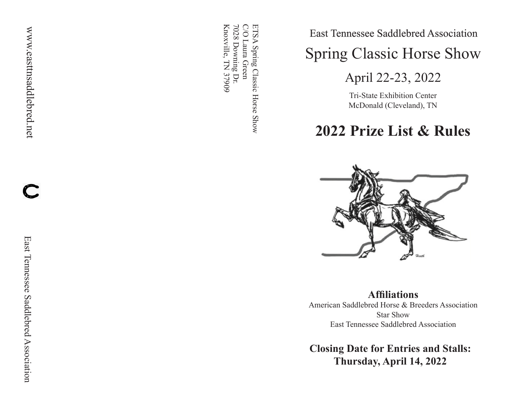ETSA Spring Classic Horse Show<br>C/O Laura Green Knoxville, TN 37909 Knoxville, TN 37909 7028 Downing Dr. 7028 Downing Dr. C/O Laura Green ETSA Spring Classic Horse Show

East Tennessee Saddlebred Association

Spring Classic Horse Show

April 22-23, 2022

Tri-State Exhibition Center McDonald (Cleveland), TN

**2022 Prize List & Rules**



**Affiliations**

American Saddlebred Horse & Breeders Association Star Show East Tennessee Saddlebred Association

**Closing Date for Entries and Stalls: Thursday, April 14, 2022**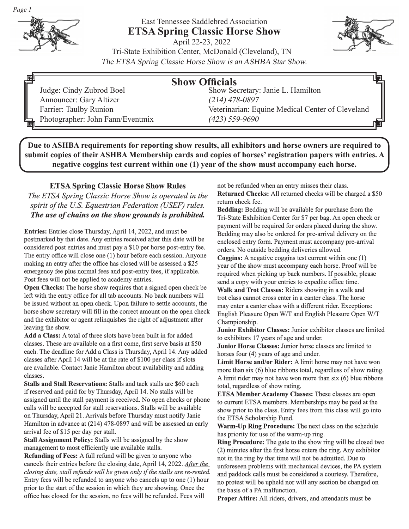

# East Tennessee Saddlebred Association **ETSA Spring Classic Horse Show**



April 22-23, 2022 Tri-State Exhibition Center, McDonald (Cleveland), TN The ETSA Spring Classic Horse Show is an ASHBA Star Show.

| 鳳 |                                  | <b>Show Officials</b>                            | 咽 |
|---|----------------------------------|--------------------------------------------------|---|
|   | Judge: Cindy Zubrod Boel         | Show Secretary: Janie L. Hamilton                |   |
|   | Announcer: Gary Altizer          | $(214)$ 478-0897                                 |   |
|   | Farrier: Taulby Runion           | Veterinarian: Equine Medical Center of Cleveland |   |
|   | Photographer: John Fann/Eventmix | $(423)$ 559-9690                                 |   |

**Due to ASHBA requirements for reporting show results, all exhibitors and horse owners are required to submit copies of their ASHBA Membership cards and copies of horses' registration papers with entries. A negative coggins test current within one (1) year of the show must accompany each horse.** 

**ETSA Spring Classic Horse Show Rules** *The ETSA Spring Classic Horse Show is operated in the spirit of the U.S. Equestrian Federation (USEF) rules. The use of chains on the show grounds is prohibited.*

**Entries:** Entries close Thursday, April 14, 2022, and must be postmarked by that date. Any entries received after this date will be considered post entries and must pay a \$10 per horse post-entry fee. The entry office will close one (1) hour before each session. Anyone making an entry after the office has closed will be assessed a \$25 emergency fee plus normal fees and post-entry fees, if applicable. Post fees will not be applied to academy entries.

**Open Checks:** The horse show requires that a signed open check be left with the entry office for all tab accounts. No back numbers will be issued without an open check. Upon failure to settle accounts, the horse show secretary will fill in the correct amount on the open check and the exhibitor or agent relinquishes the right of adjustment after leaving the show.

**Add a Class:** A total of three slots have been built in for added classes. These are available on a first come, first serve basis at \$50 each. The deadline for Add a Class is Thursday, April 14. Any added classes after April 14 will be at the rate of \$100 per class if slots are available. Contact Janie Hamilton about availability and adding classes.

**Stalls and Stall Reservations:** Stalls and tack stalls are \$60 each if reserved and paid for by Thursday, April 14. No stalls will be assigned until the stall payment is received. No open checks or phone calls will be accepted for stall reservations. Stalls will be available on Thursday, April 21. Arrivals before Thursday must notify Janie Hamilton in advance at (214) 478-0897 and will be assessed an early arrival fee of \$15 per day per stall.

**Stall Assignment Policy:** Stalls will be assigned by the show management to most efficiently use available stalls.

**Refunding of Fees:** A full refund will be given to anyone who cancels their entries before the closing date, April 14, 2022. *After the closing date, stall refunds will be given only if the stalls are re-rented.*  Entry fees will be refunded to anyone who cancels up to one (1) hour prior to the start of the session in which they are showing. Once the office has closed for the session, no fees will be refunded. Fees will

not be refunded when an entry misses their class. **Returned Checks:** All returned checks will be charged a \$50 return check fee.

**Bedding:** Bedding will be available for purchase from the Tri-State Exhibition Center for \$7 per bag. An open check or payment will be required for orders placed during the show. Bedding may also be ordered for pre-arrival delivery on the enclosed entry form. Payment must accompany pre-arrival orders. No outside bedding deliveries allowed.

**Coggins:** A negative coggins test current within one (1) year of the show must accompany each horse. Proof will be required when picking up back numbers. If possible, please send a copy with your entries to expedite office time. **Walk and Trot Classes:** Riders showing in a walk and

trot class cannot cross enter in a canter class. The horse may enter a canter class with a different rider. Exceptions: English Pleasure Open W/T and English Pleasure Open W/T Championship.

**Junior Exhibitor Classes:** Junior exhibitor classes are limited to exhibitors 17 years of age and under.

**Junior Horse Classes:** Junior horse classes are limited to horses four (4) years of age and under.

**Limit Horse and/or Rider:** A limit horse may not have won more than six (6) blue ribbons total, regardless of show rating. A limit rider may not have won more than six (6) blue ribbons total, regardless of show rating.

**ETSA Member Academy Classes:** These classes are open to current ETSA members. Memberships may be paid at the show prior to the class. Entry fees from this class will go into the ETSA Scholarship Fund.

**Warm-Up Ring Procedure:** The next class on the schedule has priority for use of the warm-up ring.

**Ring Procedure:** The gate to the show ring will be closed two (2) minutes after the first horse enters the ring. Any exhibitor not in the ring by that time will not be admitted. Due to unforeseen problems with mechanical devices, the PA system and paddock calls must be considered a courtesy. Therefore, no protest will be upheld nor will any section be changed on the basis of a PA malfunction.

**Proper Attire:** All riders, drivers, and attendants must be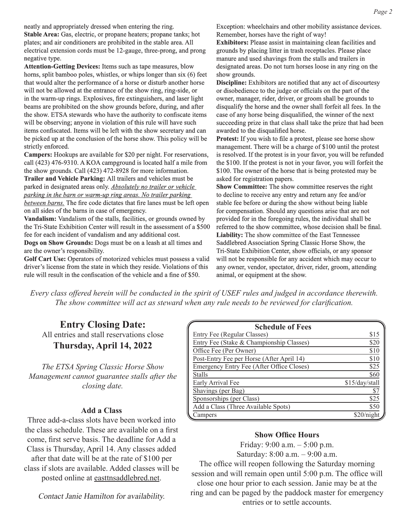neatly and appropriately dressed when entering the ring. **Stable Area:** Gas, electric, or propane heaters; propane tanks; hot plates; and air conditioners are prohibited in the stable area. All electrical extension cords must be 12-gauge, three-prong, and prong negative type.

**Attention-Getting Devices:** Items such as tape measures, blow horns, split bamboo poles, whistles, or whips longer than six (6) feet that would alter the performance of a horse or disturb another horse will not be allowed at the entrance of the show ring, ring-side, or in the warm-up rings. Explosives, fire extinguishers, and laser light beams are prohibited on the show grounds before, during, and after the show. ETSA stewards who have the authority to confiscate items will be observing; anyone in violation of this rule will have such items confiscated. Items will be left with the show secretary and can be picked up at the conclusion of the horse show. This policy will be strictly enforced.

**Campers:** Hookups are available for \$20 per night. For reservations, call (423) 476-9310. A KOA campground is located half a mile from the show grounds. Call (423) 472-8928 for more information. **Trailer and Vehicle Parking:** All trailers and vehicles must be

parked in designated areas only. *Absolutely no trailer or vehicle parking in the barn or warm-up ring areas. No trailer parking between barns.* The fire code dictates that fire lanes must be left open on all sides of the barns in case of emergency.

**Vandalism:** Vandalism of the stalls, facilities, or grounds owned by the Tri-State Exhibition Center will result in the assessment of a \$500 fee for each incident of vandalism and any additional cost. **Dogs on Show Grounds:** Dogs must be on a leash at all times and are the owner's responsibility.

Golf Cart Use: Operators of motorized vehicles must possess a valid driver's license from the state in which they reside. Violations of this rule will result in the confiscation of the vehicle and a fine of \$50.

Exception: wheelchairs and other mobility assistance devices. Remember, horses have the right of way!

**Exhibitors:** Please assist in maintaining clean facilities and grounds by placing litter in trash receptacles. Please place manure and used shavings from the stalls and trailers in designated areas. Do not turn horses loose in any ring on the show grounds.

**Discipline:** Exhibitors are notified that any act of discourtesy or disobedience to the judge or officials on the part of the owner, manager, rider, driver, or groom shall be grounds to disqualify the horse and the owner shall forfeit all fees. In the case of any horse being disqualified, the winner of the next succeeding prize in that class shall take the prize that had been awarded to the disqualified horse.

**Protest:** If you wish to file a protest, please see horse show management. There will be a charge of \$100 until the protest is resolved. If the protest is in your favor, you will be refunded the \$100. If the protest is not in your favor, you will forfeit the \$100. The owner of the horse that is being protested may be asked for registration papers.

**Show Committee:** The show committee reserves the right to decline to receive any entry and return any fee and/or stable fee before or during the show without being liable for compensation. Should any questions arise that are not provided for in the foregoing rules, the individual shall be referred to the show committee, whose decision shall be final. **Liability:** The show committee of the East Tennessee Saddlebred Association Spring Classic Horse Show, the Tri-State Exhibition Center, show officials, or any sponsor will not be responsible for any accident which may occur to any owner, vendor, spectator, driver, rider, groom, attending animal, or equipment at the show.

*Every class offered herein will be conducted in the spirit of USEF rules and judged in accordance therewith. The show committee will act as steward when any rule needs to be reviewed for clarification.*

**Entry Closing Date:** All entries and stall reservations close **Thursday, April 14, 2022**

*The ETSA Spring Classic Horse Show Management cannot guarantee stalls after the closing date.*

#### **Add a Class**

Three add-a-class slots have been worked into the class schedule. These are available on a first come, first serve basis. The deadline for Add a Class is Thursday, April 14. Any classes added after that date will be at the rate of \$100 per class if slots are available. Added classes will be posted online at easttnsaddlebred.net.

Contact Janie Hamilton for availability.

| <b>Schedule of Fees</b>                   |                |
|-------------------------------------------|----------------|
| Entry Fee (Regular Classes)               | \$15           |
| Entry Fee (Stake & Championship Classes)  | \$20           |
| Office Fee (Per Owner)                    | \$10           |
| Post-Entry Fee per Horse (After April 14) | \$10           |
| Emergency Entry Fee (After Office Closes) | \$25           |
| <b>Stalls</b>                             | \$60           |
| Early Arrival Fee                         | \$15/day/stall |
| Shavings (per Bag)                        | \$7            |
| Sponsorships (per Class)                  | \$25           |
| Add a Class (Three Available Spots)       | \$50           |
| Campers                                   | \$20/night     |

#### **Show Office Hours**

Friday: 9:00 a.m. – 5:00 p.m. Saturday: 8:00 a.m. – 9:00 a.m.

The office will reopen following the Saturday morning session and will remain open until 5:00 p.m. The office will close one hour prior to each session. Janie may be at the ring and can be paged by the paddock master for emergency entries or to settle accounts.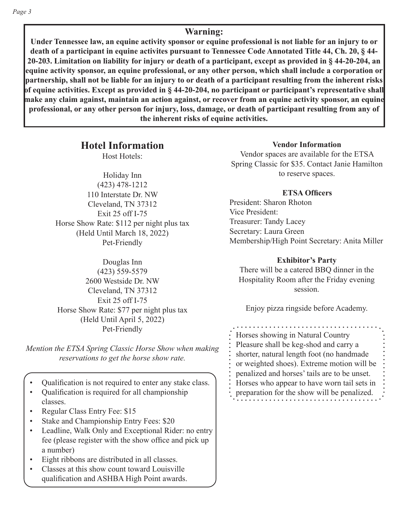### **Warning:**

**Under Tennessee law, an equine activity sponsor or equine professional is not liable for an injury to or death of a participant in equine activites pursuant to Tennessee Code Annotated Title 44, Ch. 20, § 44- 20-203. Limitation on liability for injury or death of a participant, except as provided in § 44-20-204, an equine activity sponsor, an equine professional, or any other person, which shall include a corporation or partnership, shall not be liable for an injury to or death of a participant resulting from the inherent risks of equine activities. Except as provided in § 44-20-204, no participant or participant's representative shall make any claim against, maintain an action against, or recover from an equine activity sponsor, an equine professional, or any other person for injury, loss, damage, or death of participant resulting from any of the inherent risks of equine activities.**

**Hotel Information**

Host Hotels:

Holiday Inn (423) 478-1212 110 Interstate Dr. NW Cleveland, TN 37312 Exit 25 off I-75 Horse Show Rate: \$112 per night plus tax (Held Until March 18, 2022) Pet-Friendly

Douglas Inn (423) 559-5579 2600 Westside Dr. NW Cleveland, TN 37312 Exit 25 off I-75 Horse Show Rate: \$77 per night plus tax (Held Until April 5, 2022) Pet-Friendly

*Mention the ETSA Spring Classic Horse Show when making reservations to get the horse show rate.*

- Qualification is not required to enter any stake class.
- Qualification is required for all championship classes.
- Regular Class Entry Fee: \$15
- Stake and Championship Entry Fees: \$20
- Leadline, Walk Only and Exceptional Rider: no entry fee (please register with the show office and pick up a number)
- Eight ribbons are distributed in all classes.
- Classes at this show count toward Louisville qualification and ASHBA High Point awards.

#### **Vendor Information**

Vendor spaces are available for the ETSA Spring Classic for \$35. Contact Janie Hamilton to reserve spaces.

#### **ETSA Officers**

President: Sharon Rhoton Vice President: Treasurer: Tandy Lacey Secretary: Laura Green Membership/High Point Secretary: Anita Miller

#### **Exhibitor's Party**

There will be a catered BBQ dinner in the Hospitality Room after the Friday evening session.

Enjoy pizza ringside before Academy.

Horses showing in Natural Country Pleasure shall be keg-shod and carry a shorter, natural length foot (no handmade or weighted shoes). Extreme motion will be penalized and horses' tails are to be unset. Horses who appear to have worn tail sets in preparation for the show will be penalized.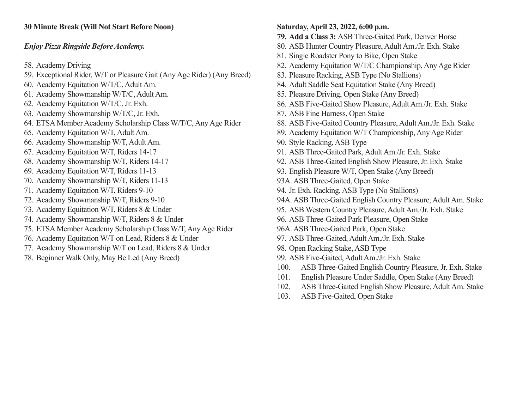### **30 Minute Break (Will Not Start Before Noon)**

### *Enjoy Pizza Ringside Before Academy.*

- 58. Academy Driving
- 59. Exceptional Rider, W/T or Pleasure Gait (Any Age Rider) (Any Breed)
- 60. Academy Equitation W/T/C, Adult Am.
- 61. Academy Showmanship W/T/C, Adult Am.
- 62. Academy Equitation W/T/C, Jr. Exh.
- 63. Academy Showmanship W/T/C, Jr. Exh.
- 64. ETSA Member Academy Scholarship Class W/T/C, Any Age Rider
- 65. Academy Equitation W/T, Adult Am.
- 66. Academy Showmanship W/T, Adult Am.
- 67. Academy Equitation W/T, Riders 14-17
- 68. Academy Showmanship W/T, Riders 14-17
- 69. Academy Equitation W/T, Riders 11-13
- 70. Academy Showmanship W/T, Riders 11-13
- 71. Academy Equitation W/T, Riders 9-10
- 72. Academy Showmanship W/T, Riders 9-10
- 73. Academy Equitation W/T, Riders 8 & Under
- 74. Academy Showmanship W/T, Riders 8 & Under
- 75. ETSA Member Academy Scholarship Class W/T, Any Age Rider
- 76. Academy Equitation W/T on Lead, Riders 8 & Under
- 77. Academy Showmanship W/T on Lead, Riders 8 & Under
- 78. Beginner Walk Only, May Be Led (Any Breed)
- **Saturday, April 23, 2022, 6:00 p.m. 79. Add a Class 3:** ASB Three-Gaited Park, Denver Horse 80. ASB Hunter Country Pleasure, Adult Am./Jr. Exh. Stake 81. Single Roadster Pony to Bike, Open Stake 82. Academy Equitation W/T/C Championship, Any Age Rider 83. Pleasure Racking, ASB Type (No Stallions) 84. Adult Saddle Seat Equitation Stake (Any Breed) 85. Pleasure Driving, Open Stake (Any Breed) 86. ASB Five-Gaited Show Pleasure, Adult Am./Jr. Exh. Stake 87. ASB Fine Harness, Open Stake 88. ASB Five-Gaited Country Pleasure, Adult Am./Jr. Exh. Stake 89. Academy Equitation W/T Championship, Any Age Rider 90. Style Racking, ASB Type 91. ASB Three-Gaited Park, Adult Am./Jr. Exh. Stake 92. ASB Three-Gaited English Show Pleasure, Jr. Exh. Stake 93. English Pleasure W/T, Open Stake (Any Breed) 93A. ASB Three-Gaited, Open Stake 94. Jr. Exh. Racking, ASB Type (No Stallions) 94A. ASB Three-Gaited English Country Pleasure, Adult Am. Stake 95. ASB Western Country Pleasure, Adult Am./Jr. Exh. Stake 96. ASB Three-Gaited Park Pleasure, Open Stake 96A. ASB Three-Gaited Park, Open Stake 97. ASB Three-Gaited, Adult Am./Jr. Exh. Stake 98. Open Racking Stake, ASB Type 99. ASB Five-Gaited, Adult Am./Jr. Exh. Stake
- 100. ASB Three-Gaited English Country Pleasure, Jr. Exh. Stake
- 101. English Pleasure Under Saddle, Open Stake (Any Breed)
- 102. ASB Three-Gaited English Show Pleasure, Adult Am. Stake
- 103. ASB Five-Gaited, Open Stake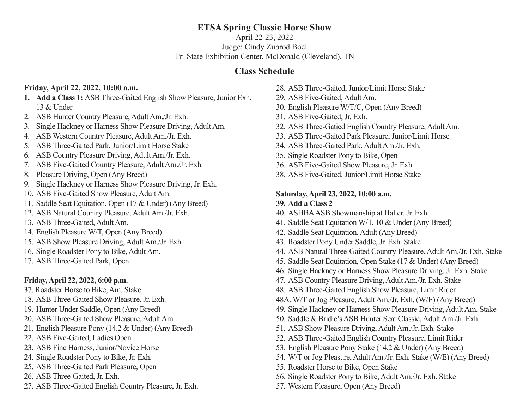## **ETSA Spring Classic Horse Show**

April 22-23, 2022 Judge: Cindy Zubrod Boel Tri-State Exhibition Center, McDonald (Cleveland), TN

## **Class Schedule**

### **Friday, April 22, 2022, 10:00 a.m.**

- **1. Add a Class 1:** ASB Three-Gaited English Show Pleasure, Junior Exh. 13 & Under
- 2. ASB Hunter Country Pleasure, Adult Am./Jr. Exh.
- 3. Single Hackney or Harness Show Pleasure Driving, Adult Am.
- 4. ASB Western Country Pleasure, Adult Am./Jr. Exh.
- 5. ASB Three-Gaited Park, Junior/Limit Horse Stake
- 6. ASB Country Pleasure Driving, Adult Am./Jr. Exh.
- 7. ASB Five-Gaited Country Pleasure, Adult Am./Jr. Exh.
- 8. Pleasure Driving, Open (Any Breed)
- 9. Single Hackney or Harness Show Pleasure Driving, Jr. Exh.
- 10. ASB Five-Gaited Show Pleasure, Adult Am.
- 11. Saddle Seat Equitation, Open (17 & Under) (Any Breed)
- 12. ASB Natural Country Pleasure, Adult Am./Jr. Exh.
- 13. ASB Three-Gaited, Adult Am.
- 14. English Pleasure W/T, Open (Any Breed)
- 15. ASB Show Pleasure Driving, Adult Am./Jr. Exh.
- 16. Single Roadster Pony to Bike, Adult Am.
- 17. ASB Three-Gaited Park, Open

### **Friday, April 22, 2022, 6:00 p.m.**

- 37. Roadster Horse to Bike, Am. Stake
- 18. ASB Three-Gaited Show Pleasure, Jr. Exh.
- 19. Hunter Under Saddle, Open (Any Breed)
- 20. ASB Three-Gaited Show Pleasure, Adult Am.
- 21. English Pleasure Pony (14.2 & Under) (Any Breed)
- 22. ASB Five-Gaited, Ladies Open
- 23. ASB Fine Harness, Junior/Novice Horse
- 24. Single Roadster Pony to Bike, Jr. Exh.
- 25. ASB Three-Gaited Park Pleasure, Open
- 26. ASB Three-Gaited, Jr. Exh.
- 27. ASB Three-Gaited English Country Pleasure, Jr. Exh.
- 28. ASB Three-Gaited, Junior/Limit Horse Stake
- 29. ASB Five-Gaited, Adult Am.
- 30. English Pleasure W/T/C, Open (Any Breed)
- 31. ASB Five-Gaited, Jr. Exh.
- 32. ASB Three-Gatied English Country Pleasure, Adult Am.
- 33. ASB Three-Gaited Park Pleasure, Junior/Limit Horse
- 34. ASB Three-Gaited Park, Adult Am./Jr. Exh.
- 35. Single Roadster Pony to Bike, Open
- 36. ASB Five-Gaited Show Pleasure, Jr. Exh.
- 38. ASB Five-Gaited, Junior/Limit Horse Stake

#### **Saturday, April 23, 2022, 10:00 a.m. 39. Add a Class 2**

- 40. ASHBA ASB Showmanship at Halter, Jr. Exh.
- 41. Saddle Seat Equitation W/T, 10 & Under (Any Breed)
- 42. Saddle Seat Equitation, Adult (Any Breed)
- 43. Roadster Pony Under Saddle, Jr. Exh. Stake
- 44. ASB Natural Three-Gaited Country Pleasure, Adult Am./Jr. Exh. Stake
- 45. Saddle Seat Equitation, Open Stake (17 & Under) (Any Breed)
- 46. Single Hackney or Harness Show Pleasure Driving, Jr. Exh. Stake
- 47. ASB Country Pleasure Driving, Adult Am./Jr. Exh. Stake
- 48. ASB Three-Gaited English Show Pleasure, Limit Rider
- 48A. W/T or Jog Pleasure, Adult Am./Jr. Exh. (W/E) (Any Breed)
- 49. Single Hackney or Harness Show Pleasure Driving, Adult Am. Stake
- 50. Saddle & Bridle's ASB Hunter Seat Classic, Adult Am./Jr. Exh.
- 51. ASB Show Pleasure Driving, Adult Am./Jr. Exh. Stake
- 52. ASB Three-Gaited English Country Pleasure, Limit Rider
- 53. English Pleasure Pony Stake (14.2 & Under) (Any Breed)
- 54. W/T or Jog Pleasure, Adult Am./Jr. Exh. Stake (W/E) (Any Breed)
- 55. Roadster Horse to Bike, Open Stake
- 56. Single Roadster Pony to Bike, Adult Am./Jr. Exh. Stake
- 57. Western Pleasure, Open (Any Breed)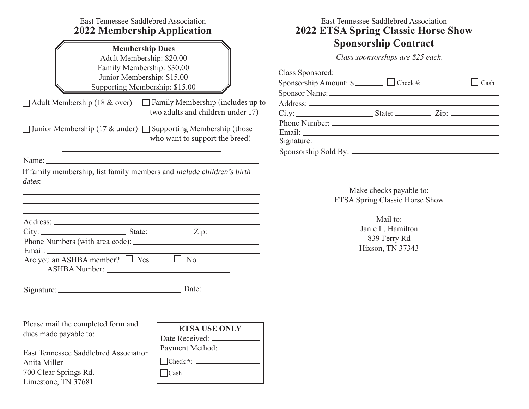| East Tennessee Saddlebred Association<br><b>2022 Membership Application</b>                                                                                                                                                                                                                                                                                                                                 | East Tennessee Saddlebred Association<br><b>2022 ETSA Spring Classic Horse Show</b> |  |                                                                  |                                                                   |  |  |  |  |
|-------------------------------------------------------------------------------------------------------------------------------------------------------------------------------------------------------------------------------------------------------------------------------------------------------------------------------------------------------------------------------------------------------------|-------------------------------------------------------------------------------------|--|------------------------------------------------------------------|-------------------------------------------------------------------|--|--|--|--|
|                                                                                                                                                                                                                                                                                                                                                                                                             | <b>Membership Dues</b><br>Adult Membership: \$20.00<br>Family Membership: \$30.00   |  | <b>Sponsorship Contract</b><br>Class sponsorships are \$25 each. |                                                                   |  |  |  |  |
| Junior Membership: \$15.00<br>Supporting Membership: \$15.00                                                                                                                                                                                                                                                                                                                                                |                                                                                     |  |                                                                  |                                                                   |  |  |  |  |
| $\Box$ Adult Membership (18 & over) $\Box$ Family Membership (includes up to                                                                                                                                                                                                                                                                                                                                | two adults and children under 17)                                                   |  |                                                                  |                                                                   |  |  |  |  |
| □ Junior Membership (17 & under) □ Supporting Membership (those<br><u> 1989 - Johann Stein, marwolaethau a bhann an t-Amhain Aonaichte an t-Amhain Aonaichte an t-Amhain Aonaichte a</u>                                                                                                                                                                                                                    | who want to support the breed)                                                      |  |                                                                  |                                                                   |  |  |  |  |
|                                                                                                                                                                                                                                                                                                                                                                                                             |                                                                                     |  |                                                                  |                                                                   |  |  |  |  |
| If family membership, list family members and include children's birth<br><u> 1989 - An Aonaichte ann an Catharachd ann an Catharachd ann an Catharachd ann an Catharachd ann an Catharach</u><br><u> 1989 - Johann Stoff, deutscher Stoff, der Stoff, der Stoff, der Stoff, der Stoff, der Stoff, der Stoff, der S</u><br>,我们也不会有什么。""我们的人,我们也不会有什么?""我们的人,我们也不会有什么?""我们的人,我们也不会有什么?""我们的人,我们也不会有什么?""我们的人 |                                                                                     |  |                                                                  | Make checks payable to:<br>ETSA Spring Classic Horse Show         |  |  |  |  |
| $City:$ State: $\_\_\_\_\_$ Zip: $\_\_\_\_\_\_$                                                                                                                                                                                                                                                                                                                                                             |                                                                                     |  |                                                                  | Mail to:<br>Janie L. Hamilton<br>839 Ferry Rd<br>Hixson, TN 37343 |  |  |  |  |
| Are you an ASHBA member? $\Box$ Yes $\Box$ No                                                                                                                                                                                                                                                                                                                                                               |                                                                                     |  |                                                                  |                                                                   |  |  |  |  |
|                                                                                                                                                                                                                                                                                                                                                                                                             | Date: $\_\_$                                                                        |  |                                                                  |                                                                   |  |  |  |  |
| Please mail the completed form and<br>dues made payable to:                                                                                                                                                                                                                                                                                                                                                 | <b>ETSA USE ONLY</b><br>Date Received: _                                            |  |                                                                  |                                                                   |  |  |  |  |
| East Tennessee Saddlebred Association<br>Anita Miller                                                                                                                                                                                                                                                                                                                                                       | Payment Method:<br>$\Box$ Check #: $\Box$                                           |  |                                                                  |                                                                   |  |  |  |  |
| 700 Clear Springs Rd.<br>Limestone, TN 37681                                                                                                                                                                                                                                                                                                                                                                | $\Box$ Cash                                                                         |  |                                                                  |                                                                   |  |  |  |  |